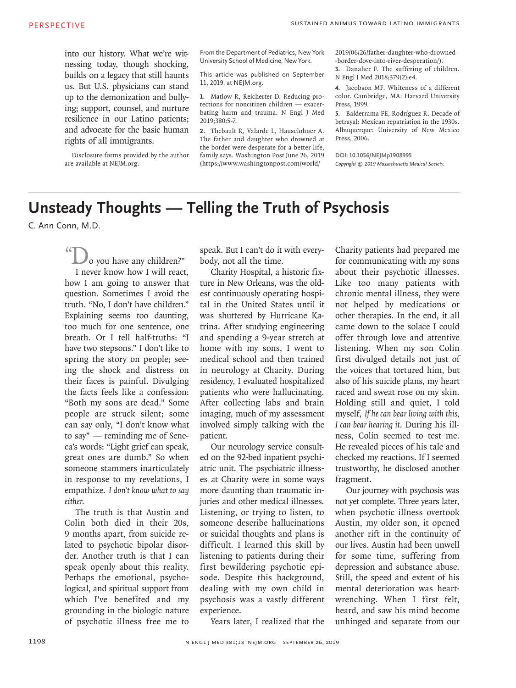into our history. What we're witnessing today, though shocking, builds on a legacy that still haunts us. But U.S. physicians can stand up to the demonization and bullying; support, counsel, and nurture resilience in our Latino patients; and advocate for the basic human rights of all immigrants.

Disclosure forms provided by the author are available at NEJM.org.

From the Department of Pediatrics, New York University School of Medicine, New York.

This article was published on September 11, 2019, at NEJM.org.

**1.** Matlow R, Reicherter D. Reducing protections for noncitizen children — exacerbating harm and trauma. N Engl J Med 2019;380:5-7.

**2.** Thebault R, Valarde L, Hauselohner A. The father and daughter who drowned at the border were desperate for a better life, family says. Washington Post June 26, 2019 (https://www.washingtonpost.com/world/

2019/06/26/father-daughter-who-drowned -border-dove-into-river-desperation/). **3.** Danaher F. The suffering of children. N Engl J Med 2018;379(2):e4.

**4.** Jacobson MF. Whiteness of a different color. Cambridge, MA: Harvard University Press, 1999.

**5.** Balderrama FE, Rodríguez R. Decade of betrayal: Mexican repatriation in the 1930s. Albuquerque: University of New Mexico Press, 2006.

**DOI: 10.1056/NEJMp1908995** Copyright  $\odot$  2019 Massachusetts Medical Society.

## **Unsteady Thoughts — Telling the Truth of Psychosis**

C. Ann Conn, M.D.

o you have any children?" I never know how I will react, how I am going to answer that question. Sometimes I avoid the truth. "No, I don't have children." Explaining seems too daunting, too much for one sentence, one breath. Or I tell half-truths: "I have two stepsons." I don't like to spring the story on people; seeing the shock and distress on their faces is painful. Divulging the facts feels like a confession: "Both my sons are dead." Some people are struck silent; some can say only, "I don't know what to say" — reminding me of Seneca's words: "Light grief can speak, great ones are dumb." So when someone stammers inarticulately in response to my revelations, I empathize. *I don't know what to say either*.

The truth is that Austin and Colin both died in their 20s, 9 months apart, from suicide related to psychotic bipolar disorder. Another truth is that I can speak openly about this reality. Perhaps the emotional, psychological, and spiritual support from which I've benefited and my grounding in the biologic nature of psychotic illness free me to speak. But I can't do it with everybody, not all the time.

Charity Hospital, a historic fixture in New Orleans, was the oldest continuously operating hospital in the United States until it was shuttered by Hurricane Katrina. After studying engineering and spending a 9-year stretch at home with my sons, I went to medical school and then trained in neurology at Charity. During residency, I evaluated hospitalized patients who were hallucinating. After collecting labs and brain imaging, much of my assessment involved simply talking with the patient.

Our neurology service consulted on the 92-bed inpatient psychiatric unit. The psychiatric illnesses at Charity were in some ways more daunting than traumatic injuries and other medical illnesses. Listening, or trying to listen, to someone describe hallucinations or suicidal thoughts and plans is difficult. I learned this skill by listening to patients during their first bewildering psychotic episode. Despite this background, dealing with my own child in psychosis was a vastly different experience.

Years later, I realized that the

for communicating with my sons about their psychotic illnesses. Like too many patients with chronic mental illness, they were not helped by medications or other therapies. In the end, it all came down to the solace I could offer through love and attentive listening. When my son Colin first divulged details not just of the voices that tortured him, but also of his suicide plans, my heart raced and sweat rose on my skin. Holding still and quiet, I told myself, *If he can bear living with this, I can bear hearing it*. During his illness, Colin seemed to test me. He revealed pieces of his tale and checked my reactions. If I seemed trustworthy, he disclosed another fragment.

Charity patients had prepared me

Our journey with psychosis was not yet complete. Three years later, when psychotic illness overtook Austin, my older son, it opened another rift in the continuity of our lives. Austin had been unwell for some time, suffering from depression and substance abuse. Still, the speed and extent of his mental deterioration was heartwrenching. When I first felt, heard, and saw his mind become unhinged and separate from our